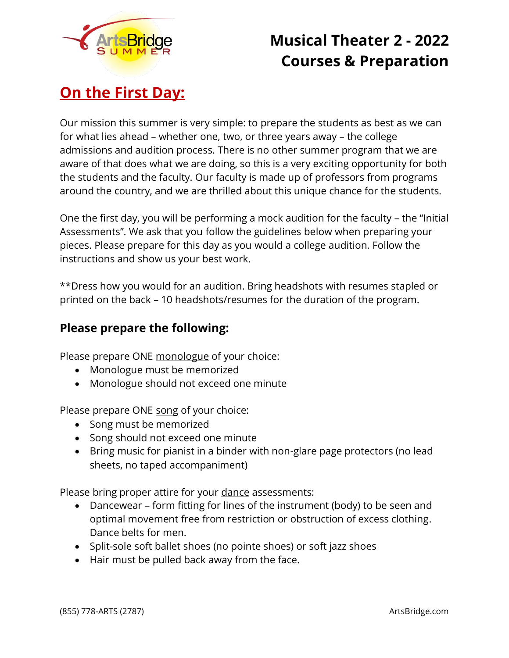

## **On the First Day:**

Our mission this summer is very simple: to prepare the students as best as we can for what lies ahead – whether one, two, or three years away – the college admissions and audition process. There is no other summer program that we are aware of that does what we are doing, so this is a very exciting opportunity for both the students and the faculty. Our faculty is made up of professors from programs around the country, and we are thrilled about this unique chance for the students.

One the first day, you will be performing a mock audition for the faculty – the "Initial Assessments". We ask that you follow the guidelines below when preparing your pieces. Please prepare for this day as you would a college audition. Follow the instructions and show us your best work.

\*\*Dress how you would for an audition. Bring headshots with resumes stapled or printed on the back – 10 headshots/resumes for the duration of the program.

### **Please prepare the following:**

Please prepare ONE monologue of your choice:

- Monologue must be memorized
- Monologue should not exceed one minute

Please prepare ONE song of your choice:

- Song must be memorized
- Song should not exceed one minute
- Bring music for pianist in a binder with non-glare page protectors (no lead sheets, no taped accompaniment)

Please bring proper attire for your dance assessments:

- Dancewear form fitting for lines of the instrument (body) to be seen and optimal movement free from restriction or obstruction of excess clothing. Dance belts for men.
- Split-sole soft ballet shoes (no pointe shoes) or soft jazz shoes
- Hair must be pulled back away from the face.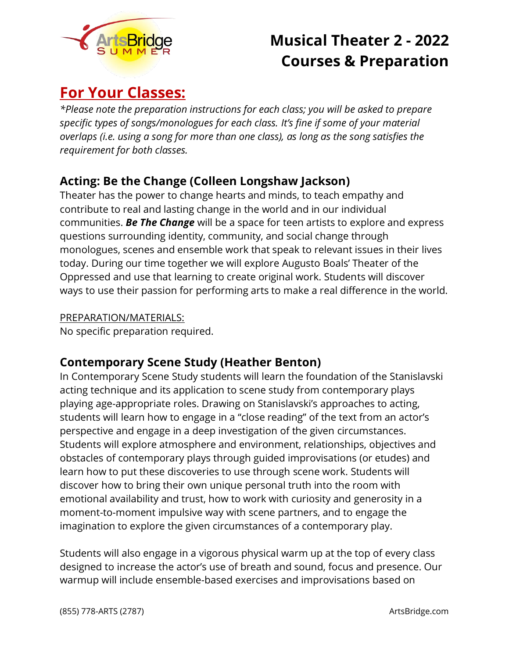

## **For Your Classes:**

*\*Please note the preparation instructions for each class; you will be asked to prepare specific types of songs/monologues for each class. It's fine if some of your material overlaps (i.e. using a song for more than one class), as long as the song satisfies the requirement for both classes.*

### **Acting: Be the Change (Colleen Longshaw Jackson)**

Theater has the power to change hearts and minds, to teach empathy and contribute to real and lasting change in the world and in our individual communities. *Be The Change* will be a space for teen artists to explore and express questions surrounding identity, community, and social change through monologues, scenes and ensemble work that speak to relevant issues in their lives today. During our time together we will explore Augusto Boals' Theater of the Oppressed and use that learning to create original work. Students will discover ways to use their passion for performing arts to make a real difference in the world.

PREPARATION/MATERIALS:

No specific preparation required.

### **Contemporary Scene Study (Heather Benton)**

In Contemporary Scene Study students will learn the foundation of the Stanislavski acting technique and its application to scene study from contemporary plays playing age-appropriate roles. Drawing on Stanislavski's approaches to acting, students will learn how to engage in a "close reading" of the text from an actor's perspective and engage in a deep investigation of the given circumstances. Students will explore atmosphere and environment, relationships, objectives and obstacles of contemporary plays through guided improvisations (or etudes) and learn how to put these discoveries to use through scene work. Students will discover how to bring their own unique personal truth into the room with emotional availability and trust, how to work with curiosity and generosity in a moment-to-moment impulsive way with scene partners, and to engage the imagination to explore the given circumstances of a contemporary play.

Students will also engage in a vigorous physical warm up at the top of every class designed to increase the actor's use of breath and sound, focus and presence. Our warmup will include ensemble-based exercises and improvisations based on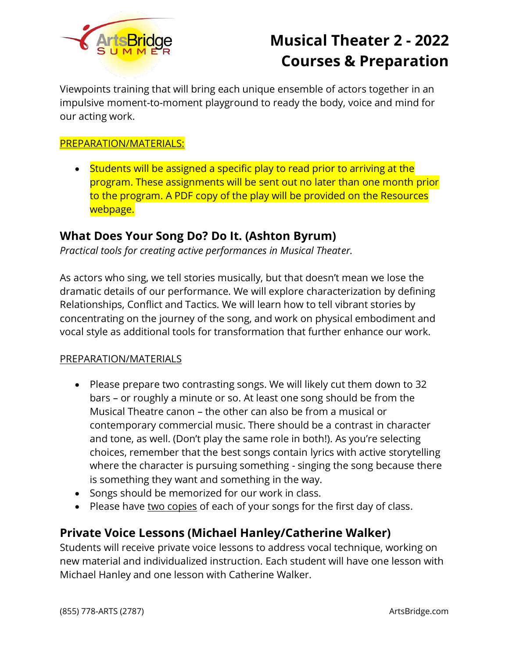

Viewpoints training that will bring each unique ensemble of actors together in an impulsive moment-to-moment playground to ready the body, voice and mind for our acting work.

#### PREPARATION/MATERIALS:

• Students will be assigned a specific play to read prior to arriving at the program. These assignments will be sent out no later than one month prior to the program. A PDF copy of the play will be provided on the Resources webpage.

### **What Does Your Song Do? Do It. (Ashton Byrum)**

*Practical tools for creating active performances in Musical Theater.*

As actors who sing, we tell stories musically, but that doesn't mean we lose the dramatic details of our performance. We will explore characterization by defining Relationships, Conflict and Tactics. We will learn how to tell vibrant stories by concentrating on the journey of the song, and work on physical embodiment and vocal style as additional tools for transformation that further enhance our work.

#### PREPARATION/MATERIALS

- Please prepare two contrasting songs. We will likely cut them down to 32 bars – or roughly a minute or so. At least one song should be from the Musical Theatre canon – the other can also be from a musical or contemporary commercial music. There should be a contrast in character and tone, as well. (Don't play the same role in both!). As you're selecting choices, remember that the best songs contain lyrics with active storytelling where the character is pursuing something - singing the song because there is something they want and something in the way.
- Songs should be memorized for our work in class.
- Please have two copies of each of your songs for the first day of class.

### **Private Voice Lessons (Michael Hanley/Catherine Walker)**

Students will receive private voice lessons to address vocal technique, working on new material and individualized instruction. Each student will have one lesson with Michael Hanley and one lesson with Catherine Walker.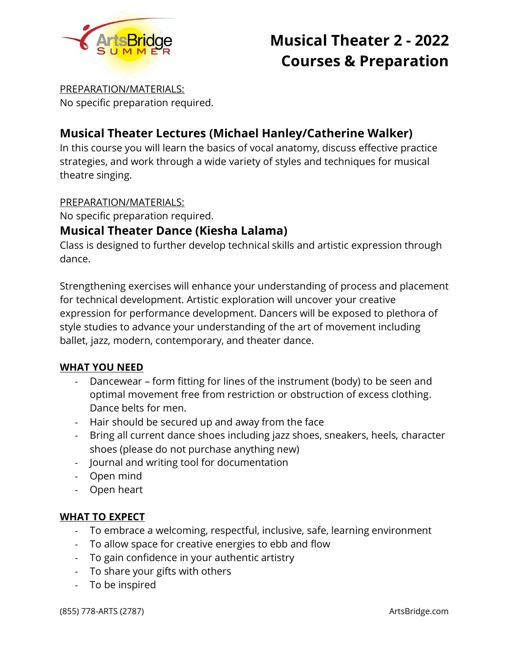

PREPARATION/MATERIALS: No specific preparation required.

## **Musical Theater Lectures (Michael Hanley/Catherine Walker)**

In this course you will learn the basics of vocal anatomy, discuss effective practice strategies, and work through a wide variety of styles and techniques for musical theatre singing.

#### PREPARATION/MATERIALS:

No specific preparation required.

### **Musical Theater Dance (Kiesha Lalama)**

Class is designed to further develop technical skills and artistic expression through dance.

Strengthening exercises will enhance your understanding of process and placement for technical development. Artistic exploration will uncover your creative expression for performance development. Dancers will be exposed to plethora of style studies to advance your understanding of the art of movement including ballet, jazz, modern, contemporary, and theater dance.

#### **WHAT YOU NEED**

- Dancewear form fitting for lines of the instrument (body) to be seen and optimal movement free from restriction or obstruction of excess clothing. Dance belts for men.
- Hair should be secured up and away from the face
- Bring all current dance shoes including jazz shoes, sneakers, heels, character shoes (please do not purchase anything new)
- Journal and writing tool for documentation
- Open mind
- Open heart

#### **WHAT TO EXPECT**

- To embrace a welcoming, respectful, inclusive, safe, learning environment
- To allow space for creative energies to ebb and flow
- To gain confidence in your authentic artistry
- To share your gifts with others
- To be inspired